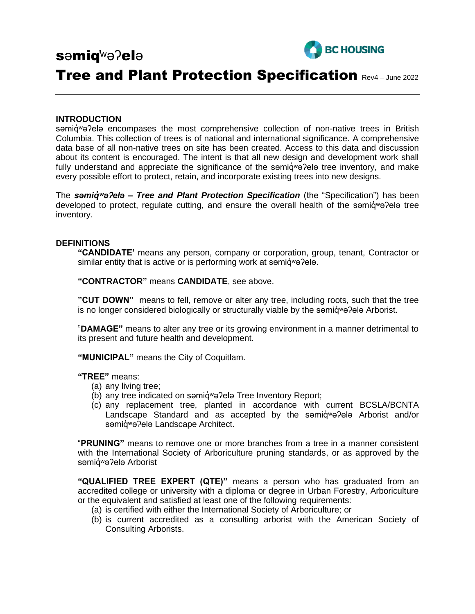

# səmiq̓ʷəʔelə

# Tree and Plant Protection Specification Rev4 – June 2022

#### **INTRODUCTION**

səmigwə?elə encompases the most comprehensive collection of non-native trees in British Columbia. This collection of trees is of national and international significance. A comprehensive data base of all non-native trees on site has been created. Access to this data and discussion about its content is encouraged. The intent is that all new design and development work shall fully understand and appreciate the significance of the samid value tree inventory, and make every possible effort to protect, retain, and incorporate existing trees into new designs.

The *səmiq̓ʷəʔelə – Tree and Plant Protection Specification* (the "Specification") has been developed to protect, regulate cutting, and ensure the overall health of the samid<sup>w</sup>a?ela tree inventory.

#### **DEFINITIONS**

**"CANDIDATE'** means any person, company or corporation, group, tenant, Contractor or similar entity that is active or is performing work at samig wa?ela.

**"CONTRACTOR"** means **CANDIDATE**, see above.

**"CUT DOWN"** means to fell, remove or alter any tree, including roots, such that the tree is no longer considered biologically or structurally viable by the semid we alle Arborist.

"**DAMAGE"** means to alter any tree or its growing environment in a manner detrimental to its present and future health and development.

**"MUNICIPAL"** means the City of Coquitlam.

**"TREE"** means:

- (a) any living tree;
- (b) any tree indicated on səmiqwə?elə Tree Inventory Report;
- (c) any replacement tree, planted in accordance with current BCSLA/BCNTA Landscape Standard and as accepted by the semid<sup>w</sup>e?ele Arborist and/or səmiq<sup>w</sup>ə?elə Landscape Architect.

"**PRUNING"** means to remove one or more branches from a tree in a manner consistent with the International Society of Arboriculture pruning standards, or as approved by the səmiq<sup>w</sup>ə?elə Arborist

**"QUALIFIED TREE EXPERT (QTE)"** means a person who has graduated from an accredited college or university with a diploma or degree in Urban Forestry, Arboriculture or the equivalent and satisfied at least one of the following requirements:

- (a) is certified with either the International Society of Arboriculture; or
- (b) is current accredited as a consulting arborist with the American Society of Consulting Arborists.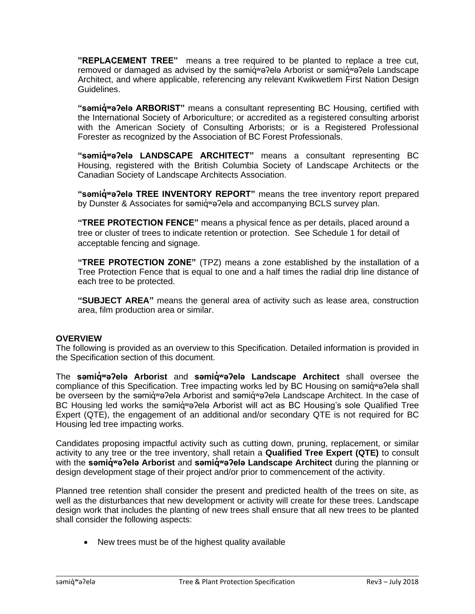**"REPLACEMENT TREE"** means a tree required to be planted to replace a tree cut, removed or damaged as advised by the səmiqwə?elə Arborist or səmiqwə?elə Landscape Architect, and where applicable, referencing any relevant Kwikwetlem First Nation Design Guidelines.

**"semid<sup>w</sup>e?ele ARBORIST"** means a consultant representing BC Housing, certified with the International Society of Arboriculture; or accredited as a registered consulting arborist with the American Society of Consulting Arborists; or is a Registered Professional Forester as recognized by the Association of BC Forest Professionals.

**"səmiq̓ ʷəʔelə LANDSCAPE ARCHITECT"** means a consultant representing BC Housing, registered with the British Columbia Society of Landscape Architects or the Canadian Society of Landscape Architects Association.

**"səmiq̓ ʷəʔelə TREE INVENTORY REPORT"** means the tree inventory report prepared by Dunster & Associates for samid<sup>w</sup>a?ela and accompanying BCLS survey plan.

**"TREE PROTECTION FENCE"** means a physical fence as per details, placed around a tree or cluster of trees to indicate retention or protection. See Schedule 1 for detail of acceptable fencing and signage.

**"TREE PROTECTION ZONE"** (TPZ) means a zone established by the installation of a Tree Protection Fence that is equal to one and a half times the radial drip line distance of each tree to be protected.

**"SUBJECT AREA"** means the general area of activity such as lease area, construction area, film production area or similar.

#### **OVERVIEW**

The following is provided as an overview to this Specification. Detailed information is provided in the Specification section of this document.

The samigwa?ela Arborist and samigwa?ela Landscape Architect shall oversee the compliance of this Specification. Tree impacting works led by BC Housing on samid<sup>w</sup>a?ela shall be overseen by the səmid<sup>w</sup>ə?elə Arborist and səmid<sup>w</sup>ə?elə Landscape Architect. In the case of BC Housing led works the samid<sup>w</sup>a?ela Arborist will act as BC Housing's sole Qualified Tree Expert (QTE), the engagement of an additional and/or secondary QTE is not required for BC Housing led tree impacting works.

Candidates proposing impactful activity such as cutting down, pruning, replacement, or similar activity to any tree or the tree inventory, shall retain a **Qualified Tree Expert (QTE)** to consult with the samid<sup>w</sup>a?ela Arborist and samid<sup>w</sup>a?ela Landscape Architect during the planning or design development stage of their project and/or prior to commencement of the activity.

Planned tree retention shall consider the present and predicted health of the trees on site, as well as the disturbances that new development or activity will create for these trees. Landscape design work that includes the planting of new trees shall ensure that all new trees to be planted shall consider the following aspects:

• New trees must be of the highest quality available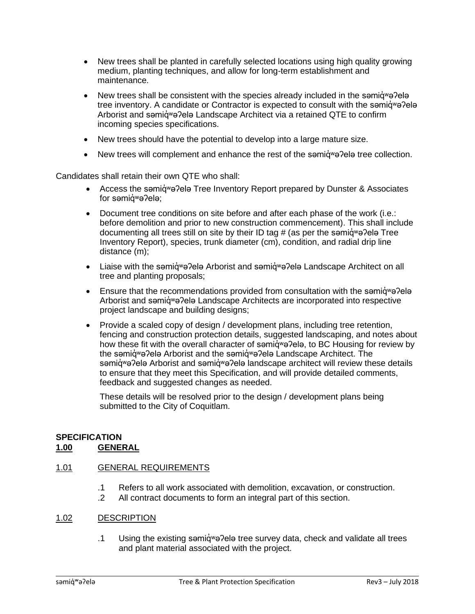- New trees shall be planted in carefully selected locations using high quality growing medium, planting techniques, and allow for long-term establishment and maintenance.
- New trees shall be consistent with the species already included in the semid  $w$  and  $w$ tree inventory. A candidate or Contractor is expected to consult with the semigwe?ele Arborist and samig wa?ela Landscape Architect via a retained QTE to confirm incoming species specifications.
- New trees should have the potential to develop into a large mature size.
- New trees will complement and enhance the rest of the semig we?ele tree collection.

Candidates shall retain their own QTE who shall:

- Access the semig<sup>w</sup> a Pela Tree Inventory Report prepared by Dunster & Associates for səmiq<sup>w</sup>ə?elə;
- Document tree conditions on site before and after each phase of the work (i.e.: before demolition and prior to new construction commencement). This shall include documenting all trees still on site by their ID tag # (as per the semig we?ele Tree Inventory Report), species, trunk diameter (cm), condition, and radial drip line distance (m);
- Liaise with the səmiq wə ?elə Arborist and səmiq wə ?elə Landscape Architect on all tree and planting proposals;
- Ensure that the recommendations provided from consultation with the semig<sup>w</sup>e?ele Arborist and səmiq<sup>w</sup>ə?elə Landscape Architects are incorporated into respective project landscape and building designs;
- Provide a scaled copy of design / development plans, including tree retention, fencing and construction protection details, suggested landscaping, and notes about how these fit with the overall character of samiqwa?ela, to BC Housing for review by the səmiq<sup>w</sup>ə?elə Arborist and the səmiqwə?elə Landscape Architect. The səmigwə?elə Arborist and səmigwə?elə landscape architect will review these details to ensure that they meet this Specification, and will provide detailed comments, feedback and suggested changes as needed.

These details will be resolved prior to the design / development plans being submitted to the City of Coquitlam.

# **SPECIFICATION**

# **1.00 GENERAL**

# 1.01 GENERAL REQUIREMENTS

- .1 Refers to all work associated with demolition, excavation, or construction.
- .2 All contract documents to form an integral part of this section.

# 1.02 DESCRIPTION

.1 Using the existing səmid<sup>w</sup>ə?elə tree survey data, check and validate all trees and plant material associated with the project.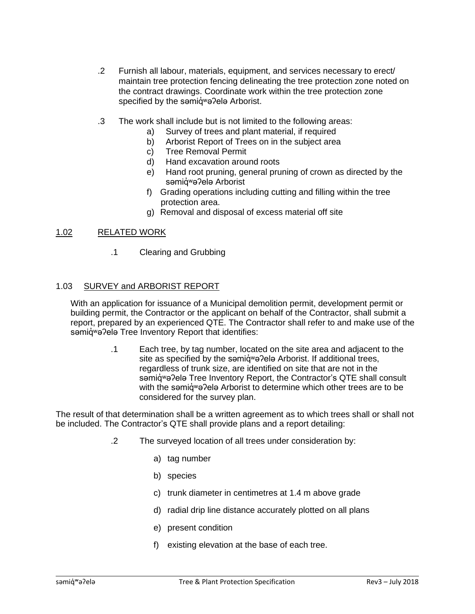- .2 Furnish all labour, materials, equipment, and services necessary to erect/ maintain tree protection fencing delineating the tree protection zone noted on the contract drawings. Coordinate work within the tree protection zone specified by the samid<sup>w</sup>a?ela Arborist.
- .3 The work shall include but is not limited to the following areas:
	- a) Survey of trees and plant material, if required
	- b) Arborist Report of Trees on in the subject area
	- c) Tree Removal Permit
	- d) Hand excavation around roots
	- e) Hand root pruning, general pruning of crown as directed by the səmiq<sup>w</sup>ə?elə Arborist
	- f) Grading operations including cutting and filling within the tree protection area.
	- g) Removal and disposal of excess material off site

#### 1.02 RELATED WORK

.1 Clearing and Grubbing

#### 1.03 SURVEY and ARBORIST REPORT

With an application for issuance of a Municipal demolition permit, development permit or building permit, the Contractor or the applicant on behalf of the Contractor, shall submit a report, prepared by an experienced QTE. The Contractor shall refer to and make use of the səmiqwə?elə Tree Inventory Report that identifies:

> .1 Each tree, by tag number, located on the site area and adjacent to the site as specified by the səmid<sup>w</sup>ə?elə Arborist. If additional trees, regardless of trunk size, are identified on site that are not in the səmiqwə?elə Tree Inventory Report, the Contractor's QTE shall consult with the samid<sup>w</sup>a?ela Arborist to determine which other trees are to be considered for the survey plan.

The result of that determination shall be a written agreement as to which trees shall or shall not be included. The Contractor's QTE shall provide plans and a report detailing:

- .2 The surveyed location of all trees under consideration by:
	- a) tag number
	- b) species
	- c) trunk diameter in centimetres at 1.4 m above grade
	- d) radial drip line distance accurately plotted on all plans
	- e) present condition
	- f) existing elevation at the base of each tree.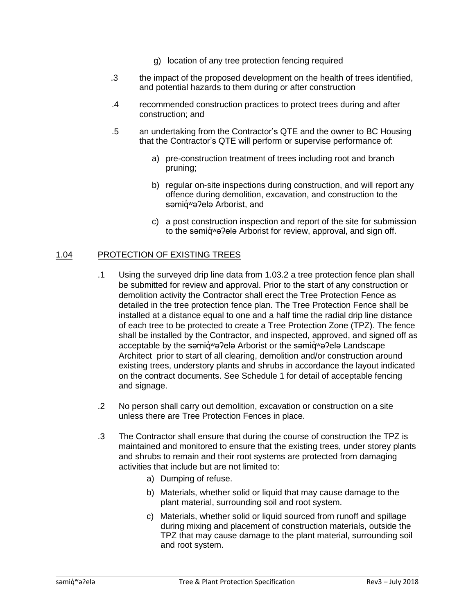- g) location of any tree protection fencing required
- .3 the impact of the proposed development on the health of trees identified, and potential hazards to them during or after construction
- .4 recommended construction practices to protect trees during and after construction; and
- .5 an undertaking from the Contractor's QTE and the owner to BC Housing that the Contractor's QTE will perform or supervise performance of:
	- a) pre-construction treatment of trees including root and branch pruning;
	- b) regular on-site inspections during construction, and will report any offence during demolition, excavation, and construction to the səmiq<sup>w</sup>ə?elə Arborist, and
	- c) a post construction inspection and report of the site for submission to the samid<sup>w</sup>a?ela Arborist for review, approval, and sign off.

# 1.04 PROTECTION OF EXISTING TREES

- .1 Using the surveyed drip line data from 1.03.2 a tree protection fence plan shall be submitted for review and approval. Prior to the start of any construction or demolition activity the Contractor shall erect the Tree Protection Fence as detailed in the tree protection fence plan. The Tree Protection Fence shall be installed at a distance equal to one and a half time the radial drip line distance of each tree to be protected to create a Tree Protection Zone (TPZ). The fence shall be installed by the Contractor, and inspected, approved, and signed off as acceptable by the səmid<sup>w</sup>ə?elə Arborist or the səmidwə?elə Landscape Architect prior to start of all clearing, demolition and/or construction around existing trees, understory plants and shrubs in accordance the layout indicated on the contract documents. See Schedule 1 for detail of acceptable fencing and signage.
- .2 No person shall carry out demolition, excavation or construction on a site unless there are Tree Protection Fences in place.
- .3 The Contractor shall ensure that during the course of construction the TPZ is maintained and monitored to ensure that the existing trees, under storey plants and shrubs to remain and their root systems are protected from damaging activities that include but are not limited to:
	- a) Dumping of refuse.
	- b) Materials, whether solid or liquid that may cause damage to the plant material, surrounding soil and root system.
	- c) Materials, whether solid or liquid sourced from runoff and spillage during mixing and placement of construction materials, outside the TPZ that may cause damage to the plant material, surrounding soil and root system.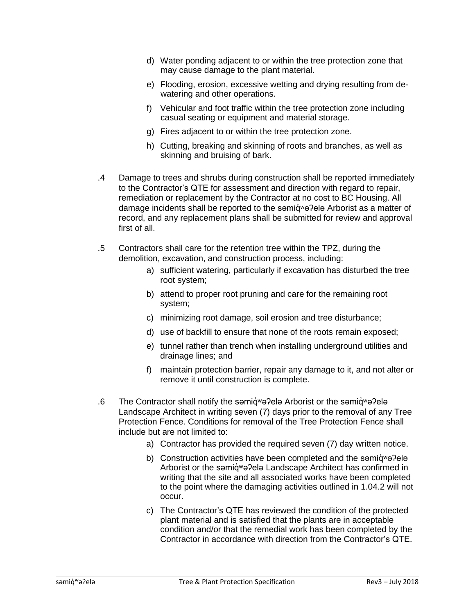- d) Water ponding adjacent to or within the tree protection zone that may cause damage to the plant material.
- e) Flooding, erosion, excessive wetting and drying resulting from dewatering and other operations.
- f) Vehicular and foot traffic within the tree protection zone including casual seating or equipment and material storage.
- g) Fires adjacent to or within the tree protection zone.
- h) Cutting, breaking and skinning of roots and branches, as well as skinning and bruising of bark.
- .4 Damage to trees and shrubs during construction shall be reported immediately to the Contractor's QTE for assessment and direction with regard to repair, remediation or replacement by the Contractor at no cost to BC Housing. All damage incidents shall be reported to the səmiq̓ ʷəʔelə Arborist as a matter of record, and any replacement plans shall be submitted for review and approval first of all.
- .5 Contractors shall care for the retention tree within the TPZ, during the demolition, excavation, and construction process, including:
	- a) sufficient watering, particularly if excavation has disturbed the tree root system;
	- b) attend to proper root pruning and care for the remaining root system;
	- c) minimizing root damage, soil erosion and tree disturbance;
	- d) use of backfill to ensure that none of the roots remain exposed;
	- e) tunnel rather than trench when installing underground utilities and drainage lines; and
	- f) maintain protection barrier, repair any damage to it, and not alter or remove it until construction is complete.
- .6 The Contractor shall notify the səmiqv value Arborist or the səmiqv value Landscape Architect in writing seven (7) days prior to the removal of any Tree Protection Fence. Conditions for removal of the Tree Protection Fence shall include but are not limited to:
	- a) Contractor has provided the required seven (7) day written notice.
	- b) Construction activities have been completed and the samig wapela Arborist or the samig<sup>w</sup>a?ela Landscape Architect has confirmed in writing that the site and all associated works have been completed to the point where the damaging activities outlined in 1.04.2 will not occur.
	- c) The Contractor's QTE has reviewed the condition of the protected plant material and is satisfied that the plants are in acceptable condition and/or that the remedial work has been completed by the Contractor in accordance with direction from the Contractor's QTE.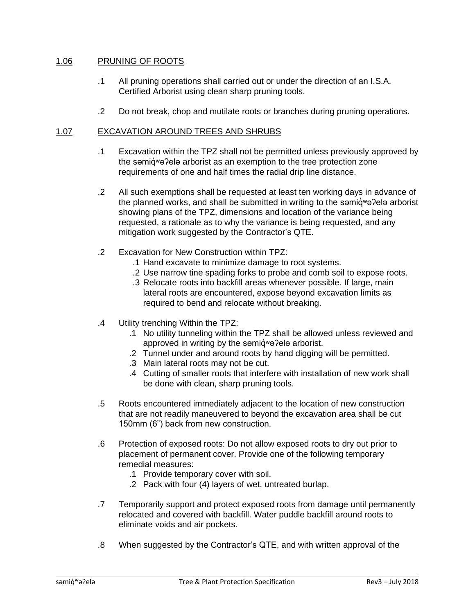# 1.06 PRUNING OF ROOTS

- .1 All pruning operations shall carried out or under the direction of an I.S.A. Certified Arborist using clean sharp pruning tools.
- .2 Do not break, chop and mutilate roots or branches during pruning operations.

### 1.07 EXCAVATION AROUND TREES AND SHRUBS

- .1 Excavation within the TPZ shall not be permitted unless previously approved by the samid<sup>w</sup>a?ela arborist as an exemption to the tree protection zone requirements of one and half times the radial drip line distance.
- .2 All such exemptions shall be requested at least ten working days in advance of the planned works, and shall be submitted in writing to the semid<sup>w</sup>e?ele arborist showing plans of the TPZ, dimensions and location of the variance being requested, a rationale as to why the variance is being requested, and any mitigation work suggested by the Contractor's QTE.
- .2 Excavation for New Construction within TPZ:
	- .1 Hand excavate to minimize damage to root systems.
	- .2 Use narrow tine spading forks to probe and comb soil to expose roots.
	- .3 Relocate roots into backfill areas whenever possible. If large, main lateral roots are encountered, expose beyond excavation limits as required to bend and relocate without breaking.
- .4 Utility trenching Within the TPZ:
	- .1 No utility tunneling within the TPZ shall be allowed unless reviewed and approved in writing by the samidwa?ela arborist.
	- .2 Tunnel under and around roots by hand digging will be permitted.
	- .3 Main lateral roots may not be cut.
	- .4 Cutting of smaller roots that interfere with installation of new work shall be done with clean, sharp pruning tools.
- .5 Roots encountered immediately adjacent to the location of new construction that are not readily maneuvered to beyond the excavation area shall be cut 150mm (6") back from new construction.
- .6 Protection of exposed roots: Do not allow exposed roots to dry out prior to placement of permanent cover. Provide one of the following temporary remedial measures:
	- .1 Provide temporary cover with soil.
	- .2 Pack with four (4) layers of wet, untreated burlap.
- .7 Temporarily support and protect exposed roots from damage until permanently relocated and covered with backfill. Water puddle backfill around roots to eliminate voids and air pockets.
- .8 When suggested by the Contractor's QTE, and with written approval of the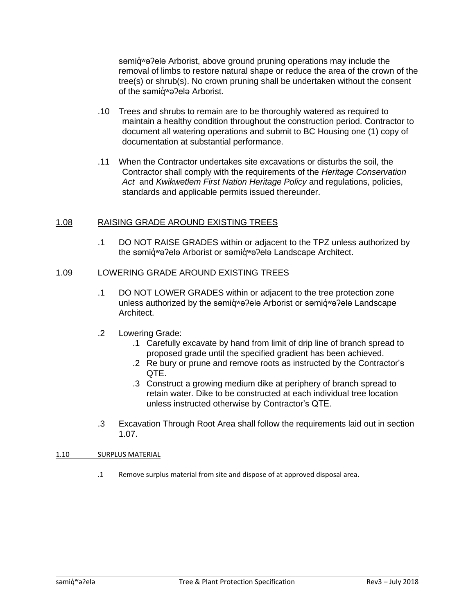səmig<sup>w</sup>ə?elə Arborist, above ground pruning operations may include the removal of limbs to restore natural shape or reduce the area of the crown of the tree(s) or shrub(s). No crown pruning shall be undertaken without the consent of the samiqva?ela Arborist.

- .10 Trees and shrubs to remain are to be thoroughly watered as required to maintain a healthy condition throughout the construction period. Contractor to document all watering operations and submit to BC Housing one (1) copy of documentation at substantial performance.
- .11 When the Contractor undertakes site excavations or disturbs the soil, the Contractor shall comply with the requirements of the *Heritage Conservation Act* and *Kwikwetlem First Nation Heritage Policy* and regulations, policies, standards and applicable permits issued thereunder.

# 1.08 RAISING GRADE AROUND EXISTING TREES

.1 DO NOT RAISE GRADES within or adjacent to the TPZ unless authorized by the səmiqwə?elə Arborist or səmiqwə?elə Landscape Architect.

#### 1.09 LOWERING GRADE AROUND EXISTING TREES

- .1 DO NOT LOWER GRADES within or adjacent to the tree protection zone unless authorized by the səmiq<sup>w</sup>ə?elə Arborist or səmiqwa?elə Landscape Architect.
- .2 Lowering Grade:
	- .1 Carefully excavate by hand from limit of drip line of branch spread to proposed grade until the specified gradient has been achieved.
	- .2 Re bury or prune and remove roots as instructed by the Contractor's QTE.
	- .3 Construct a growing medium dike at periphery of branch spread to retain water. Dike to be constructed at each individual tree location unless instructed otherwise by Contractor's QTE.
- .3 Excavation Through Root Area shall follow the requirements laid out in section 1.07.

#### 1.10 SURPLUS MATERIAL

.1 Remove surplus material from site and dispose of at approved disposal area.